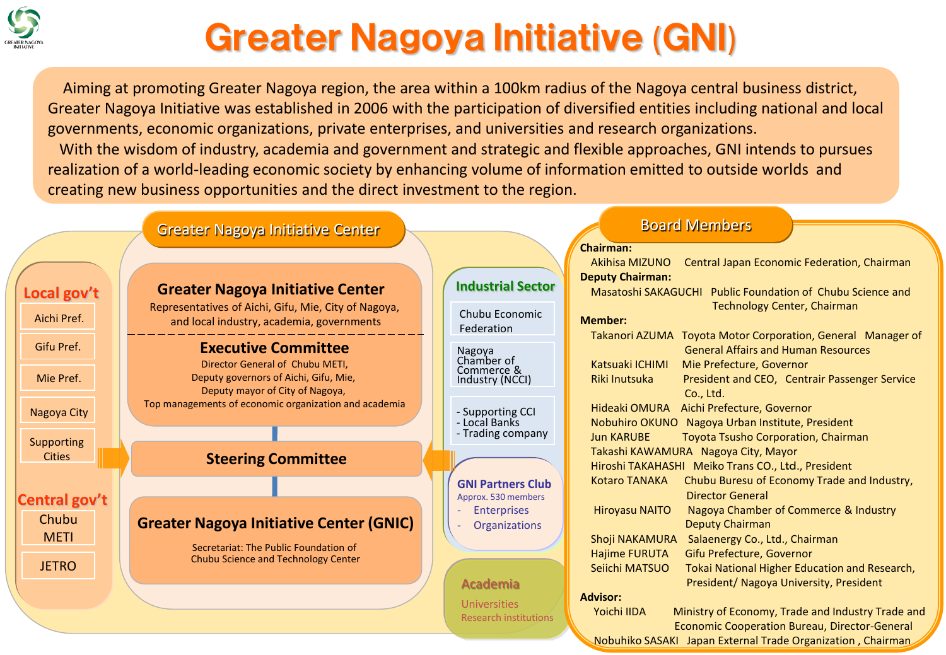

# Greater Nagoya Initiative (GNI)

Aiming at promoting Greater Nagoya region, the area within a 100km radius of the Nagoya central business district, Greater Nagoya Initiative was established in 2006 with the participation of diversified entities including national and local governments, economic organizations, private enterprises, and universities and research organizations. With the wisdom of industry, academia and government and strategic and flexible approaches, GNI intends to pursues realization of a world-leading economic society by enhancing volume of information emitted to outside worlds and creating new business opportunities and the direct investment to the region.



Nobuhiko SASAKI Japan External Trade Organization , Chairman